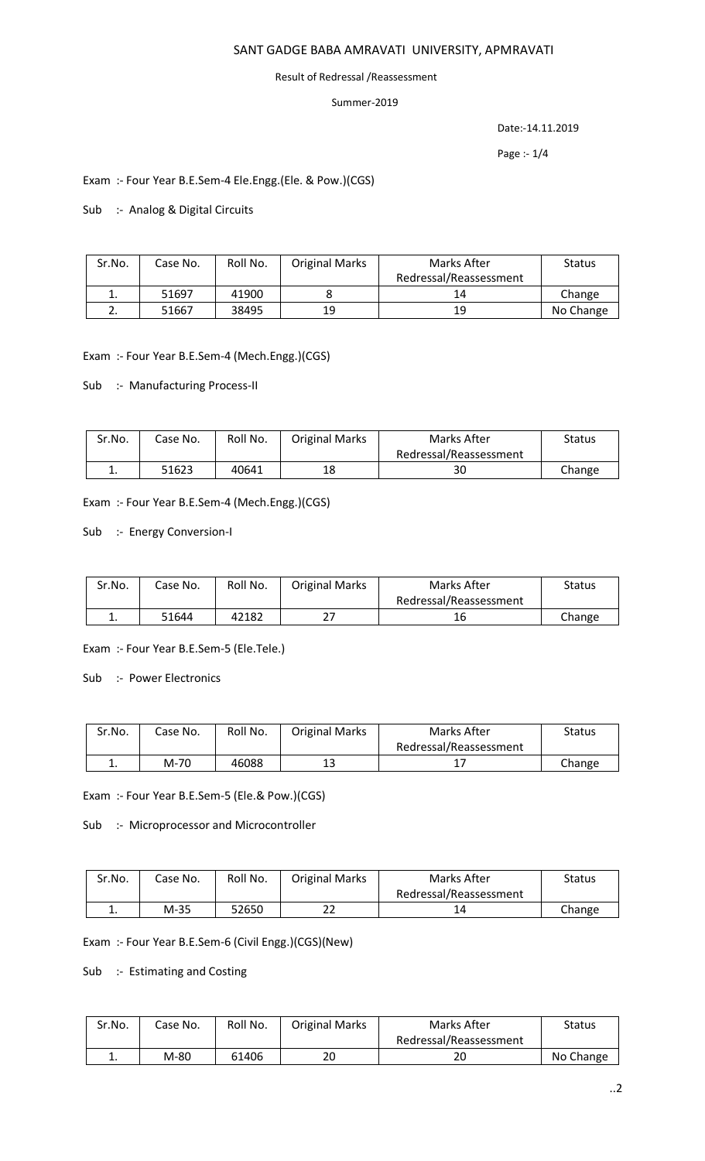## SANT GADGE BABA AMRAVATI UNIVERSITY, APMRAVATI

#### Result of Redressal /Reassessment

## Summer-2019

Date:-14.11.2019

Page :- 1/4

Exam :- Four Year B.E.Sem-4 Ele.Engg.(Ele. & Pow.)(CGS)

Sub :- Analog & Digital Circuits

| Sr.No. | Case No. | Roll No. | <b>Original Marks</b> | Marks After            | <b>Status</b> |
|--------|----------|----------|-----------------------|------------------------|---------------|
|        |          |          |                       | Redressal/Reassessment |               |
| ∸.     | 51697    | 41900    |                       | 14                     | Change        |
|        | 51667    | 38495    | 19                    | 19                     | No Change     |

Exam :- Four Year B.E.Sem-4 (Mech.Engg.)(CGS)

Sub :- Manufacturing Process-II

| Sr.No. | Case No. | Roll No. | <b>Original Marks</b> | Marks After            | Status |
|--------|----------|----------|-----------------------|------------------------|--------|
|        |          |          |                       | Redressal/Reassessment |        |
| . .    | 51623    | 40641    | 18                    | 30                     | Change |

Exam :- Four Year B.E.Sem-4 (Mech.Engg.)(CGS)

Sub :- Energy Conversion-I

| Sr.No. | Case No. | Roll No. | <b>Original Marks</b> | Marks After            | Status |
|--------|----------|----------|-----------------------|------------------------|--------|
|        |          |          |                       | Redressal/Reassessment |        |
| ∸.     | 51644    | 42182    |                       | 16                     | Change |

Exam :- Four Year B.E.Sem-5 (Ele.Tele.)

Sub :- Power Electronics

| Sr.No.   | Case No. | Roll No. | <b>Original Marks</b> | Marks After            | <b>Status</b> |
|----------|----------|----------|-----------------------|------------------------|---------------|
|          |          |          |                       | Redressal/Reassessment |               |
| <b>.</b> | M-70     | 46088    | 13                    | <b>. .</b>             | Change        |

Exam :- Four Year B.E.Sem-5 (Ele.& Pow.)(CGS)

Sub :- Microprocessor and Microcontroller

| Sr.No. | Case No. | Roll No. | <b>Original Marks</b> | Marks After            | Status |
|--------|----------|----------|-----------------------|------------------------|--------|
|        |          |          |                       | Redressal/Reassessment |        |
| . .    | M-35     | 52650    | าา<br>ے               | 14                     | Change |

Exam :- Four Year B.E.Sem-6 (Civil Engg.)(CGS)(New)

Sub :- Estimating and Costing

| Sr.No. | Case No. | Roll No. | <b>Original Marks</b> | Marks After            | Status    |
|--------|----------|----------|-----------------------|------------------------|-----------|
|        |          |          |                       | Redressal/Reassessment |           |
| . .    | M-80     | 61406    | 20                    | 20                     | No Change |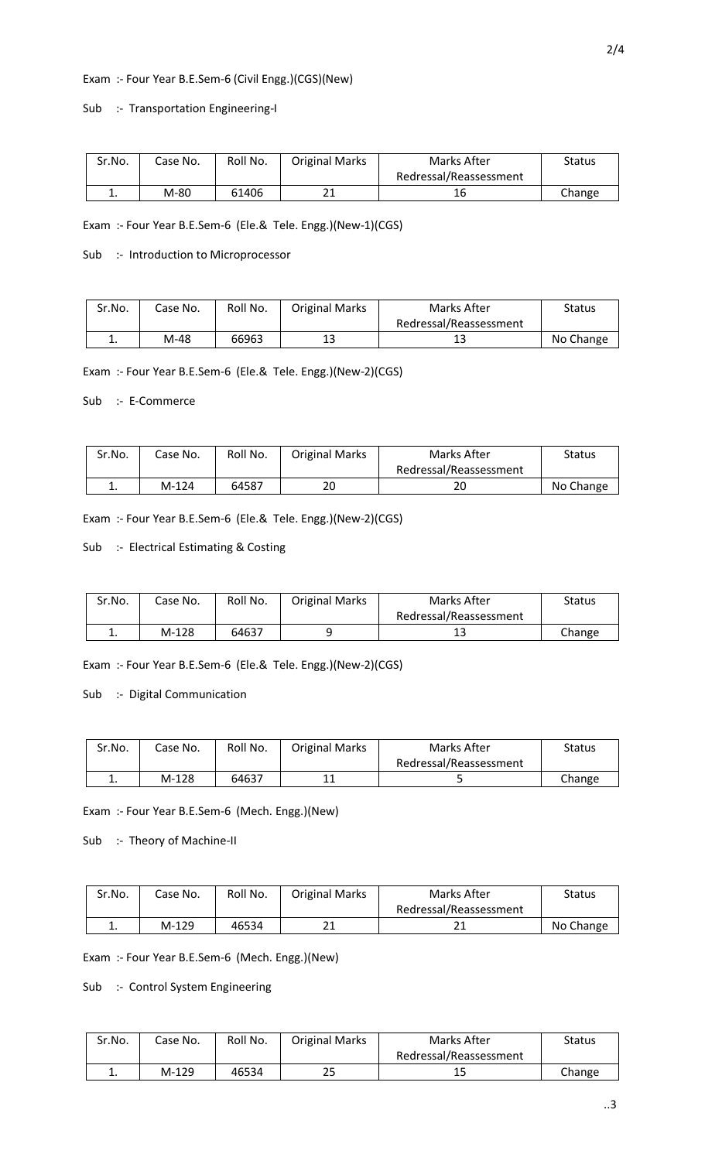## Exam :- Four Year B.E.Sem-6 (Civil Engg.)(CGS)(New)

#### Sub :- Transportation Engineering-I

| Sr.No. | Case No. | Roll No. | <b>Original Marks</b> | Marks After            | <b>Status</b> |
|--------|----------|----------|-----------------------|------------------------|---------------|
|        |          |          |                       | Redressal/Reassessment |               |
| . .    | M-80     | 61406    | าง<br>ᇰ               |                        | Change        |

2/4

Exam :- Four Year B.E.Sem-6 (Ele.& Tele. Engg.)(New-1)(CGS)

Sub :- Introduction to Microprocessor

| Sr.No. | Case No. | Roll No. | <b>Original Marks</b> | Marks After            | Status    |
|--------|----------|----------|-----------------------|------------------------|-----------|
|        |          |          |                       | Redressal/Reassessment |           |
| . .    | M-48     | 66963    | 13                    | ⊥こ                     | No Change |

Exam :- Four Year B.E.Sem-6 (Ele.& Tele. Engg.)(New-2)(CGS)

Sub :- E-Commerce

| Sr.No. | Case No. | Roll No. | <b>Original Marks</b> | Marks After            | Status    |
|--------|----------|----------|-----------------------|------------------------|-----------|
|        |          |          |                       | Redressal/Reassessment |           |
| ٠.     | $M-124$  | 64587    | 20                    | 20                     | No Change |

Exam :- Four Year B.E.Sem-6 (Ele.& Tele. Engg.)(New-2)(CGS)

Sub :- Electrical Estimating & Costing

| Sr.No. | Case No. | Roll No. | <b>Original Marks</b> | Marks After            | <b>Status</b> |
|--------|----------|----------|-----------------------|------------------------|---------------|
|        |          |          |                       | Redressal/Reassessment |               |
|        | $M-128$  | 64637    |                       | ᆠ                      | Change        |

Exam :- Four Year B.E.Sem-6 (Ele.& Tele. Engg.)(New-2)(CGS)

Sub :- Digital Communication

| Sr.No.   | Case No. | Roll No. | <b>Original Marks</b> | Marks After            | Status |
|----------|----------|----------|-----------------------|------------------------|--------|
|          |          |          |                       | Redressal/Reassessment |        |
| <b>.</b> | $M-128$  | 64637    |                       |                        | Change |

Exam :- Four Year B.E.Sem-6 (Mech. Engg.)(New)

Sub :- Theory of Machine-II

| Sr.No. | Case No. | Roll No. | <b>Original Marks</b> | Marks After            | Status    |
|--------|----------|----------|-----------------------|------------------------|-----------|
|        |          |          |                       | Redressal/Reassessment |           |
| ᅩ.     | M-129    | 46534    | ว1<br>∠⊥              |                        | No Change |

Exam :- Four Year B.E.Sem-6 (Mech. Engg.)(New)

Sub :- Control System Engineering

| Sr.No.   | Case No. | Roll No. | <b>Original Marks</b> | Marks After            | <b>Status</b> |
|----------|----------|----------|-----------------------|------------------------|---------------|
|          |          |          |                       | Redressal/Reassessment |               |
| <b>.</b> | $M-129$  | 46534    | 25                    | 15                     | Change        |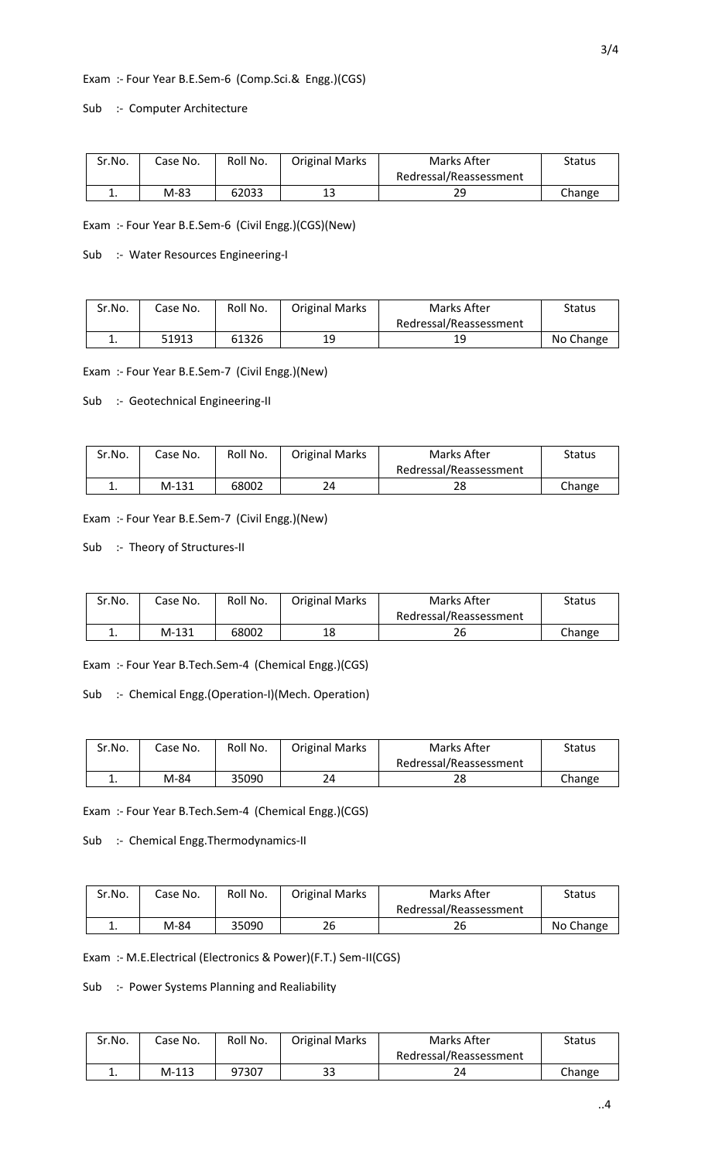#### Exam :- Four Year B.E.Sem-6 (Comp.Sci.& Engg.)(CGS)

Sub :- Computer Architecture

| Sr.No. | Case No. | Roll No. | <b>Original Marks</b> | Marks After            | Status |
|--------|----------|----------|-----------------------|------------------------|--------|
|        |          |          |                       | Redressal/Reassessment |        |
| . .    | M-83     | 62033    | 13                    | 29                     | Change |

Exam :- Four Year B.E.Sem-6 (Civil Engg.)(CGS)(New)

Sub :- Water Resources Engineering-I

| Sr.No. | Case No. | Roll No. | <b>Original Marks</b> | Marks After            | Status    |
|--------|----------|----------|-----------------------|------------------------|-----------|
|        |          |          |                       | Redressal/Reassessment |           |
| ∸.     | 51913    | 61326    | 19                    | 19                     | No Change |

Exam :- Four Year B.E.Sem-7 (Civil Engg.)(New)

Sub :- Geotechnical Engineering-II

| Sr.No. | Case No. | Roll No. | <b>Original Marks</b> | Marks After            | Status |
|--------|----------|----------|-----------------------|------------------------|--------|
|        |          |          |                       | Redressal/Reassessment |        |
| . .    | $M-131$  | 68002    | 24                    | 28                     | Change |

Exam :- Four Year B.E.Sem-7 (Civil Engg.)(New)

Sub :- Theory of Structures-II

| Sr.No. | Case No. | Roll No. | <b>Original Marks</b> | Marks After            | Status |
|--------|----------|----------|-----------------------|------------------------|--------|
|        |          |          |                       | Redressal/Reassessment |        |
|        | M-131    | 68002    | 18                    | 26                     | Change |

Exam :- Four Year B.Tech.Sem-4 (Chemical Engg.)(CGS)

Sub :- Chemical Engg.(Operation-I)(Mech. Operation)

| Sr.No. | Case No. | Roll No. | <b>Original Marks</b> | Marks After            | Status |
|--------|----------|----------|-----------------------|------------------------|--------|
|        |          |          |                       | Redressal/Reassessment |        |
| . .    | M-84     | 35090    | 24                    | າດ<br>20               | Change |

Exam :- Four Year B.Tech.Sem-4 (Chemical Engg.)(CGS)

Sub :- Chemical Engg.Thermodynamics-II

| Sr.No. | Case No. | Roll No. | <b>Original Marks</b> | Marks After            | Status    |
|--------|----------|----------|-----------------------|------------------------|-----------|
|        |          |          |                       | Redressal/Reassessment |           |
| . .    | M-84     | 35090    | 26                    | 26                     | No Change |

Exam :- M.E.Electrical (Electronics & Power)(F.T.) Sem-II(CGS)

Sub :- Power Systems Planning and Realiability

| Sr.No.   | Case No. | Roll No. | <b>Original Marks</b> | Marks After            | Status |
|----------|----------|----------|-----------------------|------------------------|--------|
|          |          |          |                       | Redressal/Reassessment |        |
| <b>.</b> | $M-113$  | 97307    | 33                    |                        | Change |

..4